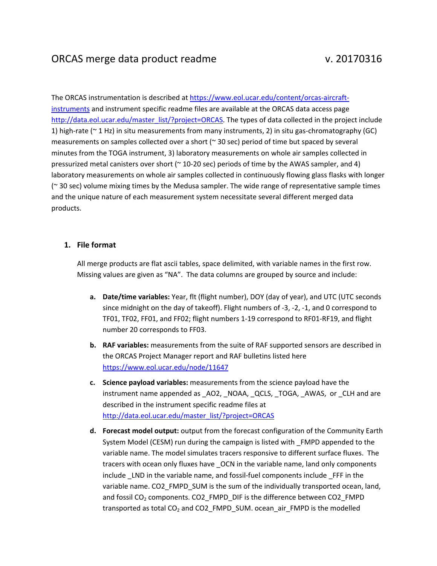# ORCAS merge data product readme v. 20170316

The ORCAS instrumentation is described at https://www.eol.ucar.edu/content/orcas‐aircraft‐ instruments and instrument specific readme files are available at the ORCAS data access page http://data.eol.ucar.edu/master\_list/?project=ORCAS. The types of data collected in the project include 1) high-rate ( $\sim$  1 Hz) in situ measurements from many instruments, 2) in situ gas-chromatography (GC) measurements on samples collected over a short ( $\approx$  30 sec) period of time but spaced by several minutes from the TOGA instrument, 3) laboratory measurements on whole air samples collected in pressurized metal canisters over short (~ 10-20 sec) periods of time by the AWAS sampler, and 4) laboratory measurements on whole air samples collected in continuously flowing glass flasks with longer (~ 30 sec) volume mixing times by the Medusa sampler. The wide range of representative sample times and the unique nature of each measurement system necessitate several different merged data products.

# **1. File format**

All merge products are flat ascii tables, space delimited, with variable names in the first row. Missing values are given as "NA". The data columns are grouped by source and include:

- **a. Date/time variables:** Year, flt (flight number), DOY (day of year), and UTC (UTC seconds since midnight on the day of takeoff). Flight numbers of -3, -2, -1, and 0 correspond to TF01, TF02, FF01, and FF02; flight numbers 1‐19 correspond to RF01‐RF19, and flight number 20 corresponds to FF03.
- **b. RAF variables:** measurements from the suite of RAF supported sensors are described in the ORCAS Project Manager report and RAF bulletins listed here https://www.eol.ucar.edu/node/11647
- **c. Science payload variables:** measurements from the science payload have the instrument name appended as \_AO2, \_NOAA, \_QCLS, \_TOGA, \_AWAS, or \_CLH and are described in the instrument specific readme files at http://data.eol.ucar.edu/master\_list/?project=ORCAS
- **d. Forecast model output:** output from the forecast configuration of the Community Earth System Model (CESM) run during the campaign is listed with \_FMPD appended to the variable name. The model simulates tracers responsive to different surface fluxes. The tracers with ocean only fluxes have \_OCN in the variable name, land only components include LND in the variable name, and fossil-fuel components include FFF in the variable name. CO2\_FMPD\_SUM is the sum of the individually transported ocean, land, and fossil  $CO<sub>2</sub>$  components. CO2 FMPD DIF is the difference between CO2 FMPD transported as total CO<sub>2</sub> and CO2\_FMPD\_SUM. ocean\_air\_FMPD is the modelled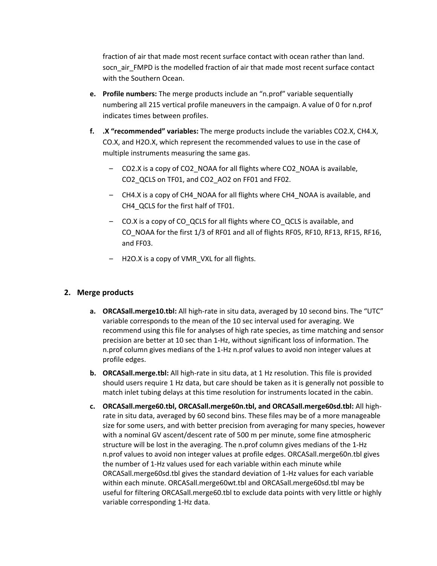fraction of air that made most recent surface contact with ocean rather than land. socn\_air\_FMPD is the modelled fraction of air that made most recent surface contact with the Southern Ocean.

- **e. Profile numbers:** The merge products include an "n.prof" variable sequentially numbering all 215 vertical profile maneuvers in the campaign. A value of 0 for n.prof indicates times between profiles.
- **f. .X "recommended" variables:** The merge products include the variables CO2.X, CH4.X, CO.X, and H2O.X, which represent the recommended values to use in the case of multiple instruments measuring the same gas.
	- CO2.X is a copy of CO2\_NOAA for all flights where CO2\_NOAA is available, CO2\_QCLS on TF01, and CO2\_AO2 on FF01 and FF02.
	- CH4.X is a copy of CH4\_NOAA for all flights where CH4\_NOAA is available, and CH4\_QCLS for the first half of TF01.
	- CO.X is a copy of CO\_QCLS for all flights where CO\_QCLS is available, and CO\_NOAA for the first 1/3 of RF01 and all of flights RF05, RF10, RF13, RF15, RF16, and FF03.
	- H2O.X is a copy of VMR\_VXL for all flights.

# **2. Merge products**

- **a. ORCASall.merge10.tbl:** All high‐rate in situ data, averaged by 10 second bins. The "UTC" variable corresponds to the mean of the 10 sec interval used for averaging. We recommend using this file for analyses of high rate species, as time matching and sensor precision are better at 10 sec than 1‐Hz, without significant loss of information. The n.prof column gives medians of the 1‐Hz n.prof values to avoid non integer values at profile edges.
- **b. ORCASall.merge.tbl:** All high‐rate in situ data, at 1 Hz resolution. This file is provided should users require 1 Hz data, but care should be taken as it is generally not possible to match inlet tubing delays at this time resolution for instruments located in the cabin.
- **c. ORCASall.merge60.tbl, ORCASall.merge60n.tbl, and ORCASall.merge60sd.tbl:** All high‐ rate in situ data, averaged by 60 second bins. These files may be of a more manageable size for some users, and with better precision from averaging for many species, however with a nominal GV ascent/descent rate of 500 m per minute, some fine atmospheric structure will be lost in the averaging. The n.prof column gives medians of the 1‐Hz n.prof values to avoid non integer values at profile edges. ORCASall.merge60n.tbl gives the number of 1‐Hz values used for each variable within each minute while ORCASall.merge60sd.tbl gives the standard deviation of 1‐Hz values for each variable within each minute. ORCASall.merge60wt.tbl and ORCASall.merge60sd.tbl may be useful for filtering ORCASall.merge60.tbl to exclude data points with very little or highly variable corresponding 1‐Hz data.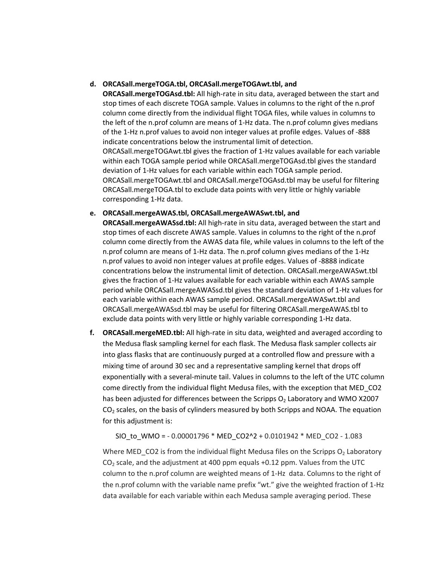### **d. ORCASall.mergeTOGA.tbl, ORCASall.mergeTOGAwt.tbl, and**

**ORCASall.mergeTOGAsd.tbl:** All high-rate in situ data, averaged between the start and stop times of each discrete TOGA sample. Values in columns to the right of the n.prof column come directly from the individual flight TOGA files, while values in columns to the left of the n.prof column are means of 1‐Hz data. The n.prof column gives medians of the 1‐Hz n.prof values to avoid non integer values at profile edges. Values of ‐888 indicate concentrations below the instrumental limit of detection. ORCASall.mergeTOGAwt.tbl gives the fraction of 1‐Hz values available for each variable within each TOGA sample period while ORCASall.mergeTOGAsd.tbl gives the standard deviation of 1‐Hz values for each variable within each TOGA sample period. ORCASall.mergeTOGAwt.tbl and ORCASall.mergeTOGAsd.tbl may be useful for filtering ORCASall.mergeTOGA.tbl to exclude data points with very little or highly variable corresponding 1‐Hz data.

### **e. ORCASall.mergeAWAS.tbl, ORCASall.mergeAWASwt.tbl, and**

**ORCASall.mergeAWASsd.tbl:** All high-rate in situ data, averaged between the start and stop times of each discrete AWAS sample. Values in columns to the right of the n.prof column come directly from the AWAS data file, while values in columns to the left of the n.prof column are means of 1‐Hz data. The n.prof column gives medians of the 1‐Hz n.prof values to avoid non integer values at profile edges. Values of ‐8888 indicate concentrations below the instrumental limit of detection. ORCASall.mergeAWASwt.tbl gives the fraction of 1‐Hz values available for each variable within each AWAS sample period while ORCASall.mergeAWASsd.tbl gives the standard deviation of 1‐Hz values for each variable within each AWAS sample period. ORCASall.mergeAWASwt.tbl and ORCASall.mergeAWASsd.tbl may be useful for filtering ORCASall.mergeAWAS.tbl to exclude data points with very little or highly variable corresponding 1‐Hz data.

**f. ORCASall.mergeMED.tbl:** All high‐rate in situ data, weighted and averaged according to the Medusa flask sampling kernel for each flask. The Medusa flask sampler collects air into glass flasks that are continuously purged at a controlled flow and pressure with a mixing time of around 30 sec and a representative sampling kernel that drops off exponentially with a several‐minute tail. Values in columns to the left of the UTC column come directly from the individual flight Medusa files, with the exception that MED\_CO2 has been adjusted for differences between the Scripps  $O<sub>2</sub>$  Laboratory and WMO X2007  $CO<sub>2</sub>$  scales, on the basis of cylinders measured by both Scripps and NOAA. The equation for this adjustment is:

SIO\_to\_WMO = ‐ 0.00001796 \* MED\_CO2^2 + 0.0101942 \* MED\_CO2 ‐ 1.083

Where MED\_CO2 is from the individual flight Medusa files on the Scripps  $O<sub>2</sub>$  Laboratory CO2 scale, and the adjustment at 400 ppm equals +0.12 ppm. Values from the UTC column to the n.prof column are weighted means of 1‐Hz data. Columns to the right of the n.prof column with the variable name prefix "wt." give the weighted fraction of 1‐Hz data available for each variable within each Medusa sample averaging period. These